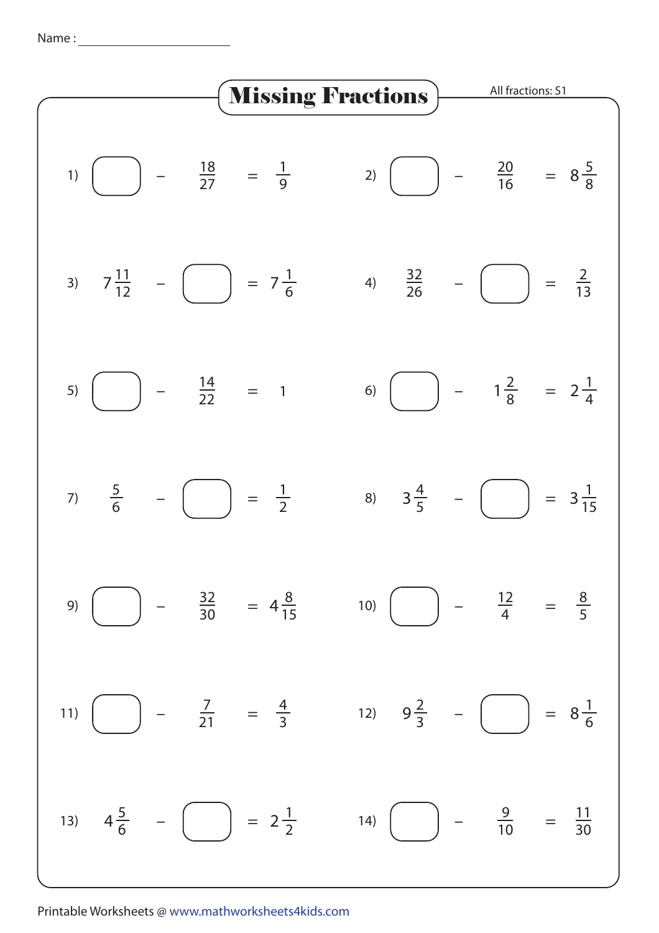